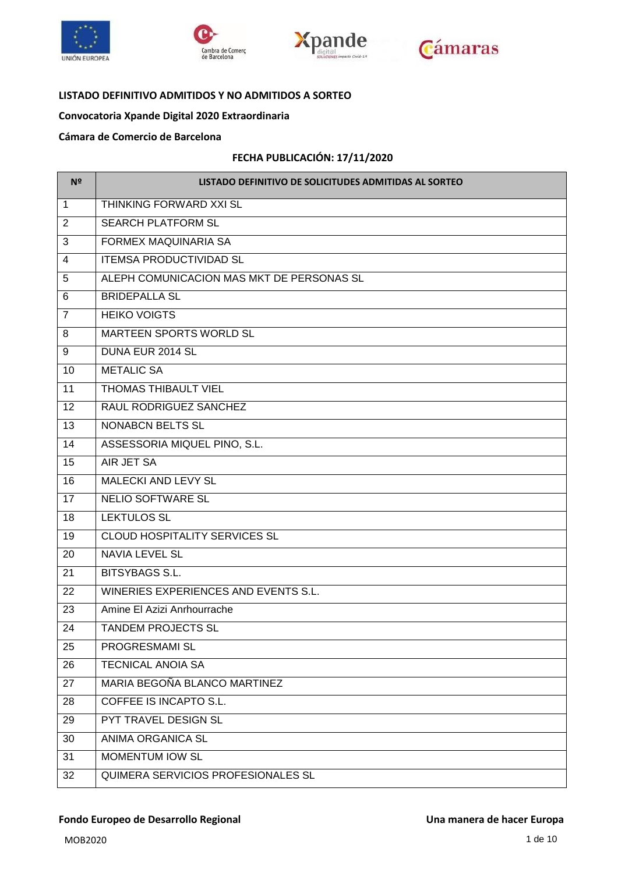







#### **LISTADO DEFINITIVO ADMITIDOS Y NO ADMITIDOS A SORTEO**

# **Convocatoria Xpande Digital 2020 Extraordinaria**

#### **Cámara de Comercio de Barcelona**

#### **FECHA PUBLICACIÓN: 17/11/2020**

| Nº             | LISTADO DEFINITIVO DE SOLICITUDES ADMITIDAS AL SORTEO |  |  |
|----------------|-------------------------------------------------------|--|--|
| $\mathbf{1}$   | THINKING FORWARD XXI SL                               |  |  |
| $\overline{2}$ | <b>SEARCH PLATFORM SL</b>                             |  |  |
| 3              | <b>FORMEX MAQUINARIA SA</b>                           |  |  |
| $\overline{4}$ | <b>ITEMSA PRODUCTIVIDAD SL</b>                        |  |  |
| 5              | ALEPH COMUNICACION MAS MKT DE PERSONAS SL             |  |  |
| 6              | <b>BRIDEPALLA SL</b>                                  |  |  |
| $\overline{7}$ | <b>HEIKO VOIGTS</b>                                   |  |  |
| 8              | <b>MARTEEN SPORTS WORLD SL</b>                        |  |  |
| 9              | DUNA EUR 2014 SL                                      |  |  |
| 10             | <b>METALIC SA</b>                                     |  |  |
| 11             | <b>THOMAS THIBAULT VIEL</b>                           |  |  |
| 12             | RAUL RODRIGUEZ SANCHEZ                                |  |  |
| 13             | <b>NONABCN BELTS SL</b>                               |  |  |
| 14             | ASSESSORIA MIQUEL PINO, S.L.                          |  |  |
| 15             | AIR JET SA                                            |  |  |
| 16             | <b>MALECKI AND LEVY SL</b>                            |  |  |
| 17             | <b>NELIO SOFTWARE SL</b>                              |  |  |
| 18             | <b>LEKTULOS SL</b>                                    |  |  |
| 19             | <b>CLOUD HOSPITALITY SERVICES SL</b>                  |  |  |
| 20             | <b>NAVIA LEVEL SL</b>                                 |  |  |
| 21             | <b>BITSYBAGS S.L.</b>                                 |  |  |
| 22             | WINERIES EXPERIENCES AND EVENTS S.L.                  |  |  |
| 23             | Amine El Azizi Anrhourrache                           |  |  |
| 24             | <b>TANDEM PROJECTS SL</b>                             |  |  |
| 25             | PROGRESMAMI SL                                        |  |  |
| 26             | <b>TECNICAL ANOIA SA</b>                              |  |  |
| 27             | MARIA BEGOÑA BLANCO MARTINEZ                          |  |  |
| 28             | COFFEE IS INCAPTO S.L.                                |  |  |
| 29             | PYT TRAVEL DESIGN SL                                  |  |  |
| 30             | ANIMA ORGANICA SL                                     |  |  |
| 31             | MOMENTUM IOW SL                                       |  |  |
| 32             | QUIMERA SERVICIOS PROFESIONALES SL                    |  |  |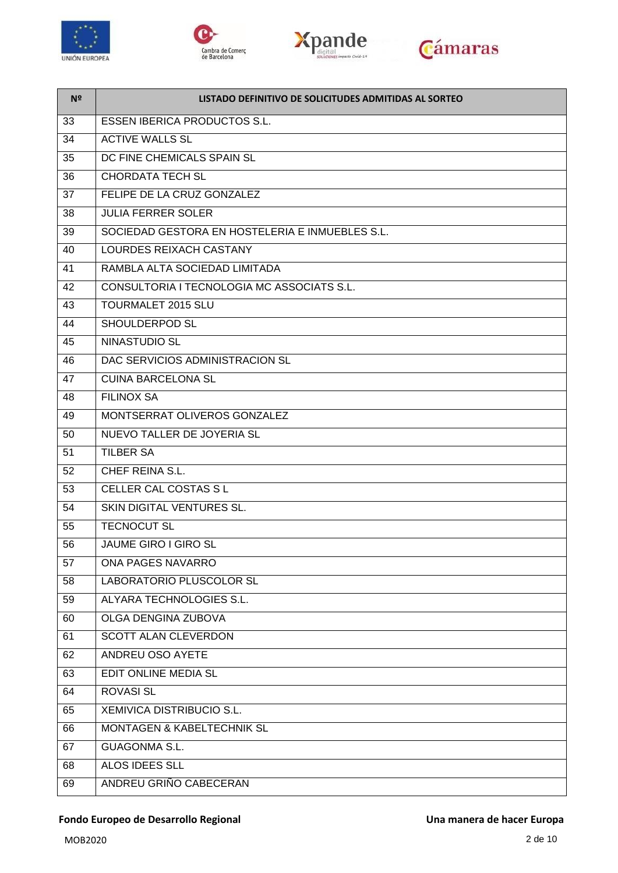

 $\overline{a}$ 







| Nº | LISTADO DEFINITIVO DE SOLICITUDES ADMITIDAS AL SORTEO |  |
|----|-------------------------------------------------------|--|
| 33 | <b>ESSEN IBERICA PRODUCTOS S.L.</b>                   |  |
| 34 | <b>ACTIVE WALLS SL</b>                                |  |
| 35 | DC FINE CHEMICALS SPAIN SL                            |  |
| 36 | <b>CHORDATA TECH SL</b>                               |  |
| 37 | FELIPE DE LA CRUZ GONZALEZ                            |  |
| 38 | <b>JULIA FERRER SOLER</b>                             |  |
| 39 | SOCIEDAD GESTORA EN HOSTELERIA E INMUEBLES S.L.       |  |
| 40 | <b>LOURDES REIXACH CASTANY</b>                        |  |
| 41 | RAMBLA ALTA SOCIEDAD LIMITADA                         |  |
| 42 | CONSULTORIA I TECNOLOGIA MC ASSOCIATS S.L.            |  |
| 43 | <b>TOURMALET 2015 SLU</b>                             |  |
| 44 | SHOULDERPOD SL                                        |  |
| 45 | NINASTUDIO SL                                         |  |
| 46 | DAC SERVICIOS ADMINISTRACION SL                       |  |
| 47 | <b>CUINA BARCELONA SL</b>                             |  |
| 48 | <b>FILINOX SA</b>                                     |  |
| 49 | MONTSERRAT OLIVEROS GONZALEZ                          |  |
| 50 | NUEVO TALLER DE JOYERIA SL                            |  |
| 51 | <b>TILBER SA</b>                                      |  |
| 52 | CHEF REINA S.L.                                       |  |
| 53 | CELLER CAL COSTAS S L                                 |  |
| 54 | <b>SKIN DIGITAL VENTURES SL.</b>                      |  |
| 55 | <b>TECNOCUT SL</b>                                    |  |
| 56 | <b>JAUME GIRO I GIRO SL</b>                           |  |
| 57 | ONA PAGES NAVARRO                                     |  |
| 58 | LABORATORIO PLUSCOLOR SL                              |  |
| 59 | ALYARA TECHNOLOGIES S.L.                              |  |
| 60 | OLGA DENGINA ZUBOVA                                   |  |
| 61 | <b>SCOTT ALAN CLEVERDON</b>                           |  |
| 62 | ANDREU OSO AYETE                                      |  |
| 63 | EDIT ONLINE MEDIA SL                                  |  |
| 64 | <b>ROVASI SL</b>                                      |  |
| 65 | XEMIVICA DISTRIBUCIO S.L.                             |  |
| 66 | MONTAGEN & KABELTECHNIK SL                            |  |
| 67 | <b>GUAGONMA S.L.</b>                                  |  |
| 68 | ALOS IDEES SLL                                        |  |
| 69 | ANDREU GRIÑO CABECERAN                                |  |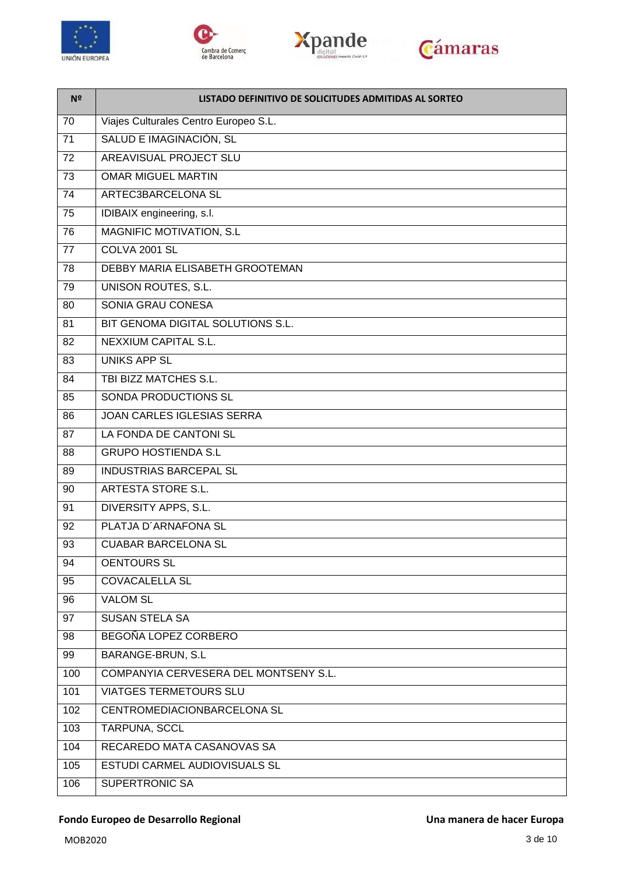







| N <sup>o</sup>  | LISTADO DEFINITIVO DE SOLICITUDES ADMITIDAS AL SORTEO |
|-----------------|-------------------------------------------------------|
| 70              | Viajes Culturales Centro Europeo S.L.                 |
| 71              | SALUD E IMAGINACIÓN, SL                               |
| 72              | <b>AREAVISUAL PROJECT SLU</b>                         |
| $\overline{73}$ | <b>OMAR MIGUEL MARTIN</b>                             |
| $\overline{74}$ | ARTEC3BARCELONA SL                                    |
| 75              | IDIBAIX engineering, s.l.                             |
| 76              | <b>MAGNIFIC MOTIVATION, S.L</b>                       |
| 77              | COLVA 2001 SL                                         |
| 78              | DEBBY MARIA ELISABETH GROOTEMAN                       |
| 79              | <b>UNISON ROUTES, S.L.</b>                            |
| 80              | <b>SONIA GRAU CONESA</b>                              |
| 81              | BIT GENOMA DIGITAL SOLUTIONS S.L.                     |
| 82              | <b>NEXXIUM CAPITAL S.L.</b>                           |
| 83              | <b>UNIKS APP SL</b>                                   |
| 84              | TBI BIZZ MATCHES S.L.                                 |
| 85              | SONDA PRODUCTIONS SL                                  |
| 86              | <b>JOAN CARLES IGLESIAS SERRA</b>                     |
| 87              | LA FONDA DE CANTONI SL                                |
| 88              | <b>GRUPO HOSTIENDA S.L</b>                            |
| 89              | <b>INDUSTRIAS BARCEPAL SL</b>                         |
| 90              | <b>ARTESTA STORE S.L.</b>                             |
| 91              | DIVERSITY APPS, S.L.                                  |
| 92              | PLATJA D'ARNAFONA SL                                  |
| 93              | <b>CUABAR BARCELONA SL</b>                            |
| 94              | <b>OENTOURS SL</b>                                    |
| 95              | <b>COVACALELLA SL</b>                                 |
| 96              | <b>VALOM SL</b>                                       |
| 97              | <b>SUSAN STELA SA</b>                                 |
| 98              | BEGOÑA LOPEZ CORBERO                                  |
| 99              | BARANGE-BRUN, S.L                                     |
| 100             | COMPANYIA CERVESERA DEL MONTSENY S.L.                 |
| 101             | <b>VIATGES TERMETOURS SLU</b>                         |
| 102             | CENTROMEDIACIONBARCELONA SL                           |
| 103             | TARPUNA, SCCL                                         |
| 104             | RECAREDO MATA CASANOVAS SA                            |
| 105             | ESTUDI CARMEL AUDIOVISUALS SL                         |
| 106             | <b>SUPERTRONIC SA</b>                                 |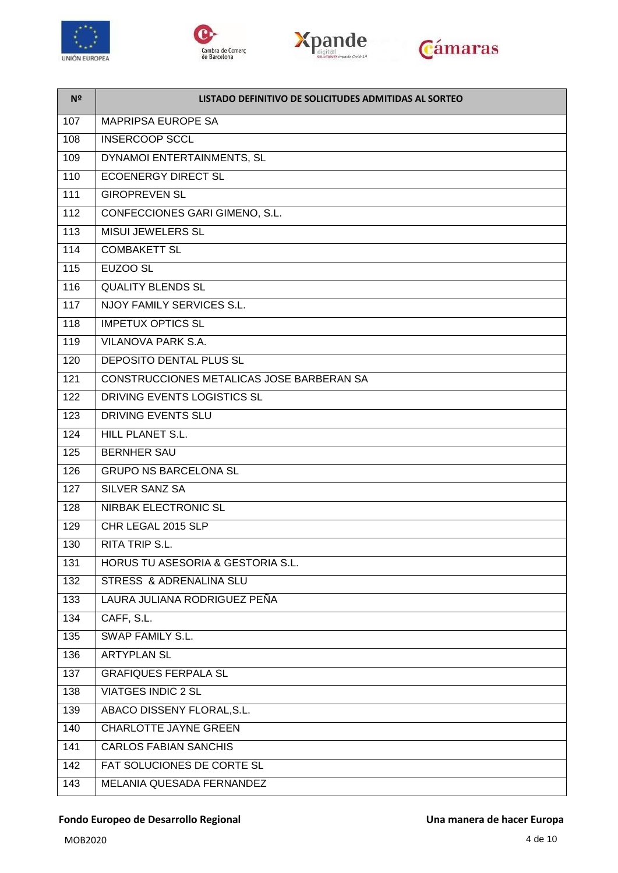

 $\blacksquare$ 







| Nº  | LISTADO DEFINITIVO DE SOLICITUDES ADMITIDAS AL SORTEO |
|-----|-------------------------------------------------------|
| 107 | <b>MAPRIPSA EUROPE SA</b>                             |
| 108 | <b>INSERCOOP SCCL</b>                                 |
| 109 | DYNAMOI ENTERTAINMENTS, SL                            |
| 110 | <b>ECOENERGY DIRECT SL</b>                            |
| 111 | <b>GIROPREVEN SL</b>                                  |
| 112 | CONFECCIONES GARI GIMENO, S.L.                        |
| 113 | <b>MISUI JEWELERS SL</b>                              |
| 114 | <b>COMBAKETT SL</b>                                   |
| 115 | EUZOO SL                                              |
| 116 | <b>QUALITY BLENDS SL</b>                              |
| 117 | <b>NJOY FAMILY SERVICES S.L.</b>                      |
| 118 | <b>IMPETUX OPTICS SL</b>                              |
| 119 | <b>VILANOVA PARK S.A.</b>                             |
| 120 | DEPOSITO DENTAL PLUS SL                               |
| 121 | CONSTRUCCIONES METALICAS JOSE BARBERAN SA             |
| 122 | DRIVING EVENTS LOGISTICS SL                           |
| 123 | <b>DRIVING EVENTS SLU</b>                             |
| 124 | HILL PLANET S.L.                                      |
| 125 | <b>BERNHER SAU</b>                                    |
| 126 | <b>GRUPO NS BARCELONA SL</b>                          |
| 127 | <b>SILVER SANZ SA</b>                                 |
| 128 | <b>NIRBAK ELECTRONIC SL</b>                           |
| 129 | CHR LEGAL 2015 SLP                                    |
| 130 | <b>RITA TRIP S.L.</b>                                 |
| 131 | <b>HORUS TU ASESORIA &amp; GESTORIA S.L.</b>          |
| 132 | STRESS & ADRENALINA SLU                               |
| 133 | LAURA JULIANA RODRIGUEZ PEÑA                          |
| 134 | CAFF, S.L.                                            |
| 135 | <b>SWAP FAMILY S.L.</b>                               |
| 136 | <b>ARTYPLAN SL</b>                                    |
| 137 | <b>GRAFIQUES FERPALA SL</b>                           |
| 138 | <b>VIATGES INDIC 2 SL</b>                             |
| 139 | ABACO DISSENY FLORAL, S.L.                            |
| 140 | <b>CHARLOTTE JAYNE GREEN</b>                          |
| 141 | <b>CARLOS FABIAN SANCHIS</b>                          |
| 142 | FAT SOLUCIONES DE CORTE SL                            |
| 143 | MELANIA QUESADA FERNANDEZ                             |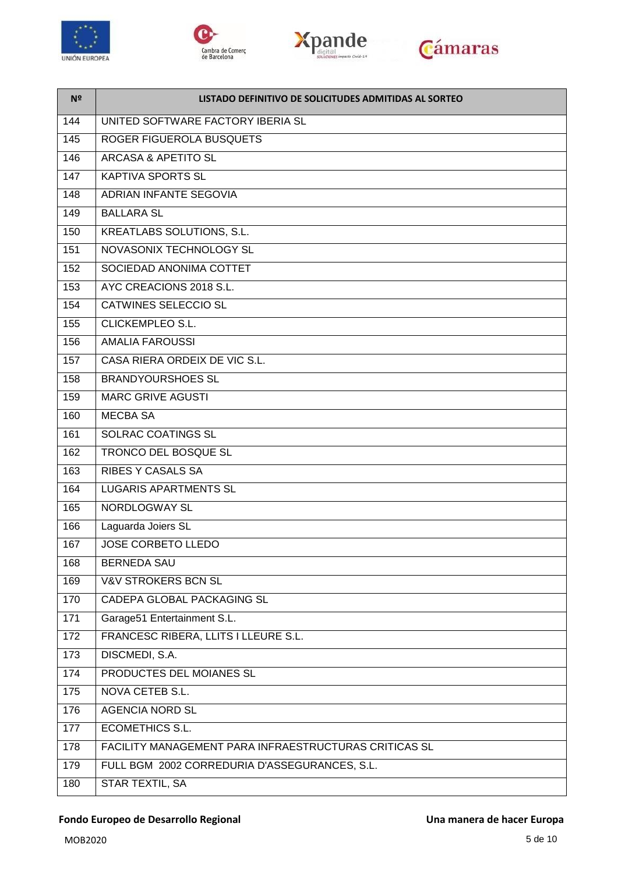







| Nº  | LISTADO DEFINITIVO DE SOLICITUDES ADMITIDAS AL SORTEO |  |
|-----|-------------------------------------------------------|--|
| 144 | UNITED SOFTWARE FACTORY IBERIA SL                     |  |
| 145 | ROGER FIGUEROLA BUSQUETS                              |  |
| 146 | <b>ARCASA &amp; APETITO SL</b>                        |  |
| 147 | <b>KAPTIVA SPORTS SL</b>                              |  |
| 148 | ADRIAN INFANTE SEGOVIA                                |  |
| 149 | <b>BALLARA SL</b>                                     |  |
| 150 | <b>KREATLABS SOLUTIONS, S.L.</b>                      |  |
| 151 | NOVASONIX TECHNOLOGY SL                               |  |
| 152 | SOCIEDAD ANONIMA COTTET                               |  |
| 153 | AYC CREACIONS 2018 S.L.                               |  |
| 154 | <b>CATWINES SELECCIO SL</b>                           |  |
| 155 | CLICKEMPLEO S.L.                                      |  |
| 156 | <b>AMALIA FAROUSSI</b>                                |  |
| 157 | CASA RIERA ORDEIX DE VIC S.L.                         |  |
| 158 | <b>BRANDYOURSHOES SL</b>                              |  |
| 159 | <b>MARC GRIVE AGUSTI</b>                              |  |
| 160 | <b>MECBA SA</b>                                       |  |
| 161 | SOLRAC COATINGS SL                                    |  |
| 162 | <b>TRONCO DEL BOSQUE SL</b>                           |  |
| 163 | <b>RIBES Y CASALS SA</b>                              |  |
| 164 | <b>LUGARIS APARTMENTS SL</b>                          |  |
| 165 | <b>NORDLOGWAY SL</b>                                  |  |
| 166 | Laguarda Joiers SL                                    |  |
| 167 | <b>JOSE CORBETO LLEDO</b>                             |  |
| 168 | <b>BERNEDA SAU</b>                                    |  |
| 169 | <b>V&amp;V STROKERS BCN SL</b>                        |  |
| 170 | <b>CADEPA GLOBAL PACKAGING SL</b>                     |  |
| 171 | Garage51 Entertainment S.L.                           |  |
| 172 | FRANCESC RIBERA, LLITS I LLEURE S.L.                  |  |
| 173 | DISCMEDI, S.A.                                        |  |
| 174 | PRODUCTES DEL MOIANES SL                              |  |
| 175 | <b>NOVA CETEB S.L.</b>                                |  |
| 176 | <b>AGENCIA NORD SL</b>                                |  |
| 177 | <b>ECOMETHICS S.L.</b>                                |  |
| 178 | FACILITY MANAGEMENT PARA INFRAESTRUCTURAS CRITICAS SL |  |
| 179 | FULL BGM 2002 CORREDURIA D'ASSEGURANCES, S.L.         |  |
| 180 | STAR TEXTIL, SA                                       |  |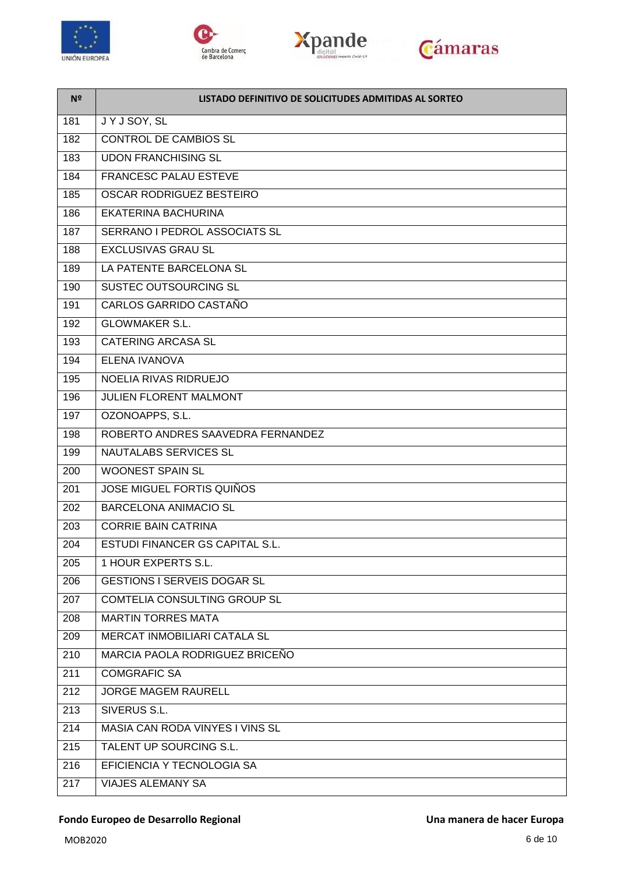







| N <sup>2</sup> | LISTADO DEFINITIVO DE SOLICITUDES ADMITIDAS AL SORTEO |  |
|----------------|-------------------------------------------------------|--|
| 181            | JYJSOY, SL                                            |  |
| 182            | <b>CONTROL DE CAMBIOS SL</b>                          |  |
| 183            | <b>UDON FRANCHISING SL</b>                            |  |
| 184            | <b>FRANCESC PALAU ESTEVE</b>                          |  |
| 185            | OSCAR RODRIGUEZ BESTEIRO                              |  |
| 186            | EKATERINA BACHURINA                                   |  |
| 187            | SERRANO I PEDROL ASSOCIATS SL                         |  |
| 188            | <b>EXCLUSIVAS GRAU SL</b>                             |  |
| 189            | LA PATENTE BARCELONA SL                               |  |
| 190            | <b>SUSTEC OUTSOURCING SL</b>                          |  |
| 191            | CARLOS GARRIDO CASTAÑO                                |  |
| 192            | <b>GLOWMAKER S.L.</b>                                 |  |
| 193            | <b>CATERING ARCASA SL</b>                             |  |
| 194            | <b>ELENA IVANOVA</b>                                  |  |
| 195            | NOELIA RIVAS RIDRUEJO                                 |  |
| 196            | JULIEN FLORENT MALMONT                                |  |
| 197            | OZONOAPPS, S.L.                                       |  |
| 198            | ROBERTO ANDRES SAAVEDRA FERNANDEZ                     |  |
| 199            | <b>NAUTALABS SERVICES SL</b>                          |  |
| 200            | <b>WOONEST SPAIN SL</b>                               |  |
| 201            | <b>JOSE MIGUEL FORTIS QUIÑOS</b>                      |  |
| 202            | <b>BARCELONA ANIMACIO SL</b>                          |  |
| 203            | <b>CORRIE BAIN CATRINA</b>                            |  |
| 204            | <b>ESTUDI FINANCER GS CAPITAL S.L.</b>                |  |
| 205            | 1 HOUR EXPERTS S.L.                                   |  |
| 206            | <b>GESTIONS I SERVEIS DOGAR SL</b>                    |  |
| 207            | COMTELIA CONSULTING GROUP SL                          |  |
| 208            | <b>MARTIN TORRES MATA</b>                             |  |
| 209            | MERCAT INMOBILIARI CATALA SL                          |  |
| 210            | MARCIA PAOLA RODRIGUEZ BRICEÑO                        |  |
| 211            | <b>COMGRAFIC SA</b>                                   |  |
| 212            | <b>JORGE MAGEM RAURELL</b>                            |  |
| 213            | SIVERUS S.L.                                          |  |
| 214            | MASIA CAN RODA VINYES I VINS SL                       |  |
| 215            | TALENT UP SOURCING S.L.                               |  |
| 216            | EFICIENCIA Y TECNOLOGIA SA                            |  |
| 217            | <b>VIAJES ALEMANY SA</b>                              |  |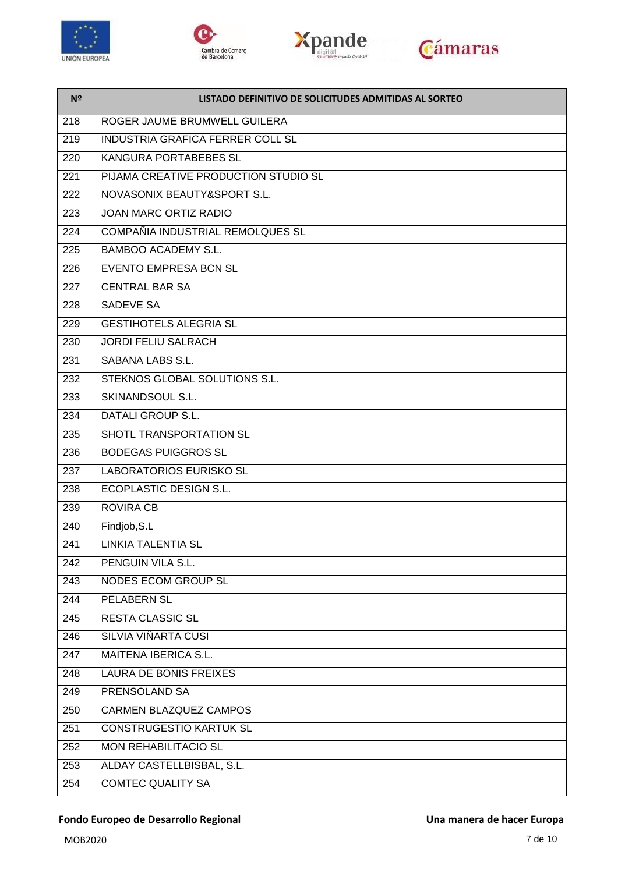







| N <sup>o</sup> | LISTADO DEFINITIVO DE SOLICITUDES ADMITIDAS AL SORTEO |
|----------------|-------------------------------------------------------|
| 218            | ROGER JAUME BRUMWELL GUILERA                          |
| 219            | <b>INDUSTRIA GRAFICA FERRER COLL SL</b>               |
| 220            | KANGURA PORTABEBES SL                                 |
| 221            | PIJAMA CREATIVE PRODUCTION STUDIO SL                  |
| 222            | NOVASONIX BEAUTY&SPORT S.L.                           |
| 223            | <b>JOAN MARC ORTIZ RADIO</b>                          |
| 224            | COMPAÑIA INDUSTRIAL REMOLQUES SL                      |
| 225            | <b>BAMBOO ACADEMY S.L.</b>                            |
| 226            | <b>EVENTO EMPRESA BCN SL</b>                          |
| 227            | <b>CENTRAL BAR SA</b>                                 |
| 228            | <b>SADEVE SA</b>                                      |
| 229            | <b>GESTIHOTELS ALEGRIA SL</b>                         |
| 230            | <b>JORDI FELIU SALRACH</b>                            |
| 231            | SABANA LABS S.L.                                      |
| 232            | STEKNOS GLOBAL SOLUTIONS S.L.                         |
| 233            | SKINANDSOUL S.L.                                      |
| 234            | <b>DATALI GROUP S.L.</b>                              |
| 235            | SHOTL TRANSPORTATION SL                               |
| 236            | <b>BODEGAS PUIGGROS SL</b>                            |
| 237            | <b>LABORATORIOS EURISKO SL</b>                        |
| 238            | <b>ECOPLASTIC DESIGN S.L.</b>                         |
| 239            | <b>ROVIRA CB</b>                                      |
| 240            | Findjob, S.L                                          |
| 241            | <b>LINKIA TALENTIA SL</b>                             |
| 242            | PENGUIN VILA S.L.                                     |
| 243            | NODES ECOM GROUP SL                                   |
| 244            | PELABERN SL                                           |
| 245            | <b>RESTA CLASSIC SL</b>                               |
| 246            | SILVIA VIÑARTA CUSI                                   |
| 247            | MAITENA IBERICA S.L.                                  |
| 248            | LAURA DE BONIS FREIXES                                |
| 249            | PRENSOLAND SA                                         |
| 250            | CARMEN BLAZQUEZ CAMPOS                                |
| 251            | <b>CONSTRUGESTIO KARTUK SL</b>                        |
| 252            | <b>MON REHABILITACIO SL</b>                           |
| 253            | ALDAY CASTELLBISBAL, S.L.                             |
| 254            | <b>COMTEC QUALITY SA</b>                              |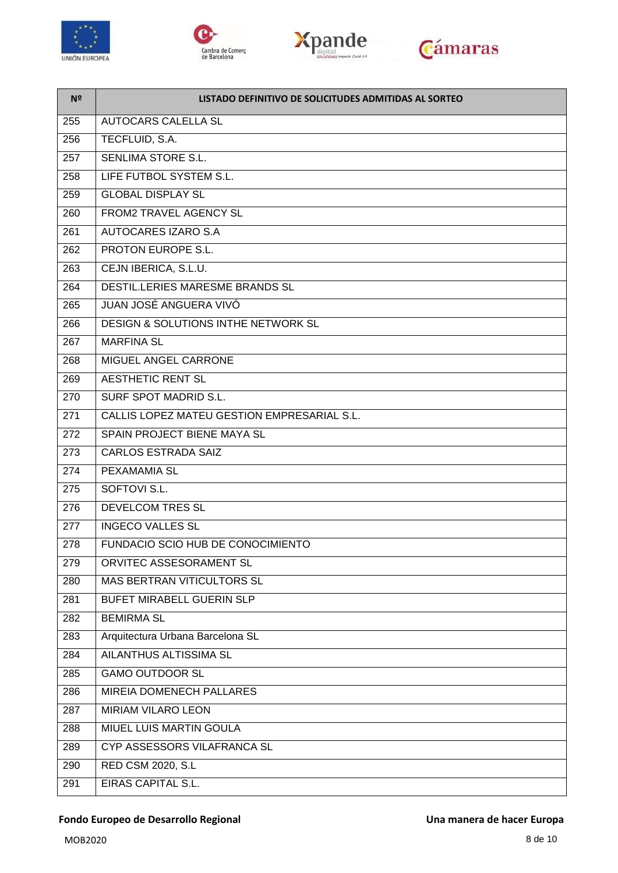

 $\blacksquare$ 







| N <sup>2</sup> | LISTADO DEFINITIVO DE SOLICITUDES ADMITIDAS AL SORTEO |
|----------------|-------------------------------------------------------|
| 255            | <b>AUTOCARS CALELLA SL</b>                            |
| 256            | TECFLUID, S.A.                                        |
| 257            | <b>SENLIMA STORE S.L.</b>                             |
| 258            | LIFE FUTBOL SYSTEM S.L.                               |
| 259            | <b>GLOBAL DISPLAY SL</b>                              |
| 260            | <b>FROM2 TRAVEL AGENCY SL</b>                         |
| 261            | AUTOCARES IZARO S.A                                   |
| 262            | PROTON EUROPE S.L.                                    |
| 263            | CEJN IBERICA, S.L.U.                                  |
| 264            | DESTIL.LERIES MARESME BRANDS SL                       |
| 265            | JUAN JOSÉ ANGUERA VIVÓ                                |
| 266            | DESIGN & SOLUTIONS INTHE NETWORK SL                   |
| 267            | <b>MARFINA SL</b>                                     |
| 268            | MIGUEL ANGEL CARRONE                                  |
| 269            | <b>AESTHETIC RENT SL</b>                              |
| 270            | <b>SURF SPOT MADRID S.L.</b>                          |
| 271            | CALLIS LOPEZ MATEU GESTION EMPRESARIAL S.L.           |
| 272            | SPAIN PROJECT BIENE MAYA SL                           |
| 273            | <b>CARLOS ESTRADA SAIZ</b>                            |
| 274            | PEXAMAMIA SL                                          |
| 275            | SOFTOVI S.L.                                          |
| 276            | <b>DEVELCOM TRES SL</b>                               |
| 277            | <b>INGECO VALLES SL</b>                               |
| 278            | FUNDACIO SCIO HUB DE CONOCIMIENTO                     |
| 279            | ORVITEC ASSESORAMENT SL                               |
| 280            | MAS BERTRAN VITICULTORS SL                            |
| 281            | <b>BUFET MIRABELL GUERIN SLP</b>                      |
| 282            | <b>BEMIRMA SL</b>                                     |
| 283            | Arquitectura Urbana Barcelona SL                      |
| 284            | AILANTHUS ALTISSIMA SL                                |
| 285            | <b>GAMO OUTDOOR SL</b>                                |
| 286            | MIREIA DOMENECH PALLARES                              |
| 287            | MIRIAM VILARO LEON                                    |
| 288            | MIUEL LUIS MARTIN GOULA                               |
| 289            | CYP ASSESSORS VILAFRANCA SL                           |
| 290            | RED CSM 2020, S.L                                     |
| 291            | EIRAS CAPITAL S.L.                                    |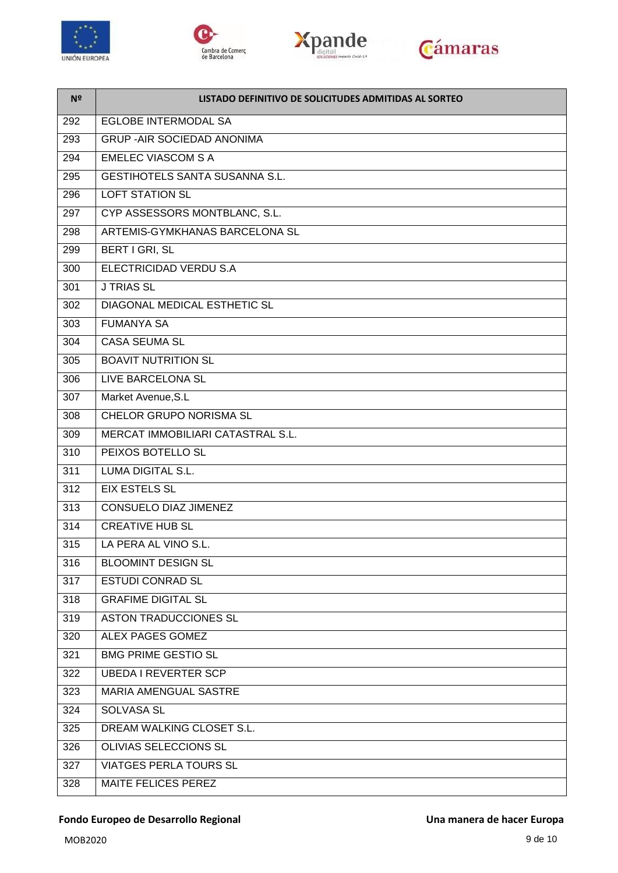







| N <sup>2</sup>   | LISTADO DEFINITIVO DE SOLICITUDES ADMITIDAS AL SORTEO |
|------------------|-------------------------------------------------------|
| 292              | <b>EGLOBE INTERMODAL SA</b>                           |
| 293              | <b>GRUP - AIR SOCIEDAD ANONIMA</b>                    |
| 294              | <b>EMELEC VIASCOM S A</b>                             |
| 295              | <b>GESTIHOTELS SANTA SUSANNA S.L.</b>                 |
| 296              | <b>LOFT STATION SL</b>                                |
| 297              | CYP ASSESSORS MONTBLANC, S.L.                         |
| 298              | ARTEMIS-GYMKHANAS BARCELONA SL                        |
| 299              | BERT I GRI, SL                                        |
| 300              | ELECTRICIDAD VERDU S.A                                |
| 301              | <b>J TRIAS SL</b>                                     |
| 302              | <b>DIAGONAL MEDICAL ESTHETIC SL</b>                   |
| 303              | <b>FUMANYA SA</b>                                     |
| 304              | <b>CASA SEUMA SL</b>                                  |
| 305              | <b>BOAVIT NUTRITION SL</b>                            |
| 306              | LIVE BARCELONA SL                                     |
| 307              | Market Avenue, S.L                                    |
| 308              | CHELOR GRUPO NORISMA SL                               |
| 309              | MERCAT IMMOBILIARI CATASTRAL S.L.                     |
| 310              | PEIXOS BOTELLO SL                                     |
| 311              | <b>LUMA DIGITAL S.L.</b>                              |
| $\overline{312}$ | <b>EIX ESTELS SL</b>                                  |
| 313              | <b>CONSUELO DIAZ JIMENEZ</b>                          |
| 314              | <b>CREATIVE HUB SL</b>                                |
| 315              | LA PERA AL VINO S.L.                                  |
| 316              | <b>BLOOMINT DESIGN SL</b>                             |
| 317              | <b>ESTUDI CONRAD SL</b>                               |
| 318              | <b>GRAFIME DIGITAL SL</b>                             |
| 319              | <b>ASTON TRADUCCIONES SL</b>                          |
| 320              | ALEX PAGES GOMEZ                                      |
| 321              | <b>BMG PRIME GESTIO SL</b>                            |
| 322              | <b>UBEDA I REVERTER SCP</b>                           |
| 323              | MARIA AMENGUAL SASTRE                                 |
| 324              | <b>SOLVASA SL</b>                                     |
| 325              | DREAM WALKING CLOSET S.L.                             |
| 326              | OLIVIAS SELECCIONS SL                                 |
| 327              | <b>VIATGES PERLA TOURS SL</b>                         |
| 328              | MAITE FELICES PEREZ                                   |